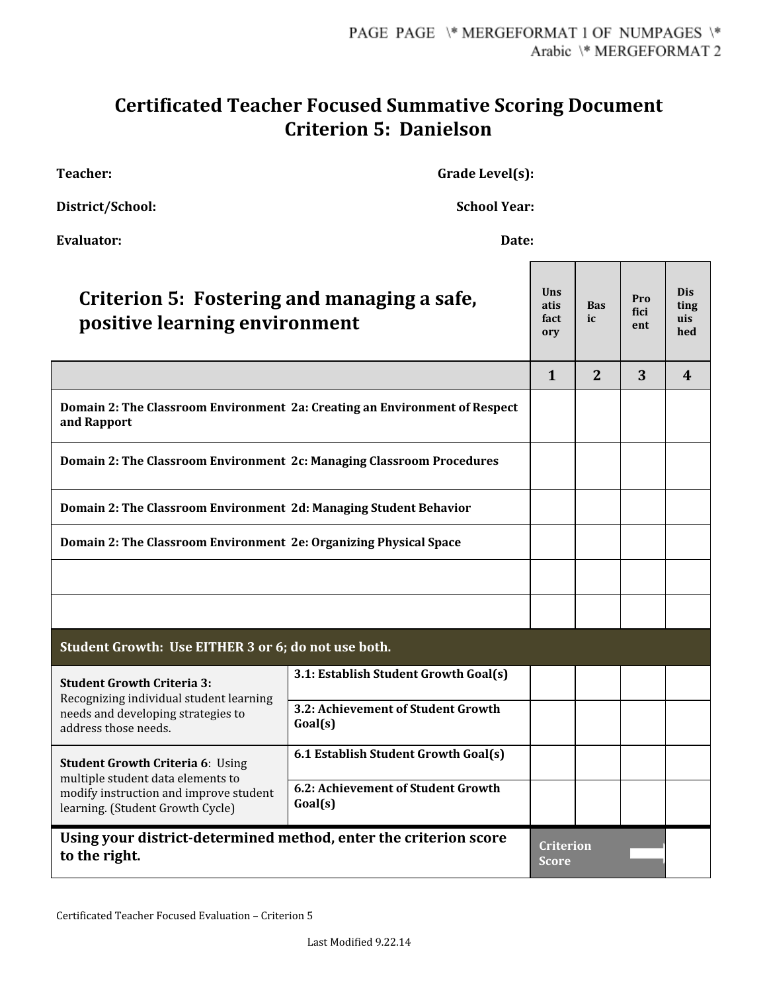## **Certificated Teacher Focused Summative Scoring Document Criterion 5: Danielson**

**Teacher: Grade Level(s):**

**District/School: School Year:**

| <b>Evaluator:</b><br>Date:                                                                                                                                 |                                               |                                   |                  |                    |                                  |  |  |
|------------------------------------------------------------------------------------------------------------------------------------------------------------|-----------------------------------------------|-----------------------------------|------------------|--------------------|----------------------------------|--|--|
| Criterion 5: Fostering and managing a safe,<br>positive learning environment                                                                               |                                               | <b>Uns</b><br>atis<br>fact<br>ory | <b>Bas</b><br>ic | Pro<br>fici<br>ent | <b>Dis</b><br>ting<br>uis<br>hed |  |  |
|                                                                                                                                                            |                                               | $\mathbf{1}$                      | 2                | 3                  | 4                                |  |  |
| Domain 2: The Classroom Environment 2a: Creating an Environment of Respect<br>and Rapport                                                                  |                                               |                                   |                  |                    |                                  |  |  |
| <b>Domain 2: The Classroom Environment 2c: Managing Classroom Procedures</b>                                                                               |                                               |                                   |                  |                    |                                  |  |  |
| Domain 2: The Classroom Environment 2d: Managing Student Behavior                                                                                          |                                               |                                   |                  |                    |                                  |  |  |
| Domain 2: The Classroom Environment 2e: Organizing Physical Space                                                                                          |                                               |                                   |                  |                    |                                  |  |  |
|                                                                                                                                                            |                                               |                                   |                  |                    |                                  |  |  |
|                                                                                                                                                            |                                               |                                   |                  |                    |                                  |  |  |
| Student Growth: Use EITHER 3 or 6; do not use both.                                                                                                        |                                               |                                   |                  |                    |                                  |  |  |
| <b>Student Growth Criteria 3:</b><br>Recognizing individual student learning<br>needs and developing strategies to<br>address those needs.                 | 3.1: Establish Student Growth Goal(s)         |                                   |                  |                    |                                  |  |  |
|                                                                                                                                                            | 3.2: Achievement of Student Growth<br>Goal(s) |                                   |                  |                    |                                  |  |  |
| <b>Student Growth Criteria 6: Using</b><br>multiple student data elements to<br>modify instruction and improve student<br>learning. (Student Growth Cycle) | 6.1 Establish Student Growth Goal(s)          |                                   |                  |                    |                                  |  |  |
|                                                                                                                                                            | 6.2: Achievement of Student Growth<br>Goal(s) |                                   |                  |                    |                                  |  |  |
| Using your district-determined method, enter the criterion score<br>to the right.                                                                          |                                               |                                   | <b>Criterion</b> |                    |                                  |  |  |